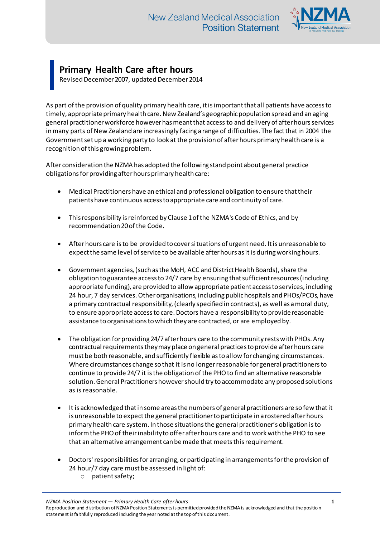

## **Primary Health Care after hours**

Revised December 2007, updated December 2014

As part of the provision of quality primary health care, it is important that all patients have access to timely, appropriate primary health care. New Zealand's geographic population spread and an aging general practitioner workforce however has meant that access to and delivery of after hours services in many parts of New Zealand are increasingly facing a range of difficulties. The fact that in 2004 the Government set up a working party to look at the provision of after hours primary health care is a recognition of this growing problem.

After consideration the NZMA has adopted the following stand point about general practice obligations for providing after hours primary health care:

- Medical Practitioners have an ethical and professional obligation to ensure that their patients have continuous access to appropriate care and continuity of care.
- This responsibility is reinforced by Clause 1 of the NZMA's Code of Ethics, and by recommendation 20of the Code.
- After hours care is to be provided to cover situations of urgent need. It is unreasonable to expect the same level of service to be available after hours as it is during working hours.
- Government agencies, (such as the MoH, ACC and District Health Boards), share the obligation to guarantee access to 24/7 care by ensuring that sufficient resources (including appropriate funding), are provided to allow appropriate patient access to services, including 24 hour, 7 day services. Other organisations, including public hospitals and PHOs/PCOs, have a primary contractual responsibility, (clearly specified in contracts), as well as a moral duty, to ensure appropriate access to care. Doctors have a responsibility to provide reasonable assistance to organisations to which they are contracted, or are employed by.
- The obligation for providing 24/7 after hours care to the community rests with PHOs. Any contractual requirements they may place on general practices to provide after hours care must be both reasonable, and sufficiently flexible as to allow for changing circumstances. Where circumstances change so that it is no longer reasonable for general practitioners to continue to provide 24/7 it is the obligation of the PHO to find an alternative reasonable solution. General Practitioners however should try to accommodate any proposed solutions as is reasonable.
- It is acknowledged that in some areas the numbers of general practitioners are so few that it is unreasonable to expect the general practitioner to participate in a rostered after hours primary health care system. In those situations the general practitioner's obligation is to inform the PHO of their inability to offer after hours care and to work with the PHO to see that an alternative arrangement can be made that meets this requirement.
- Doctors' responsibilities for arranging, or participating in arrangements for the provision of 24 hour/7 day care must be assessed in light of:
	- o patient safety;

*NZMA Position Statement — Primary Health Care after hours* **1**

Reproduction and distribution of NZMA Position Statements is permitted provided the NZMA is acknowledged and that the position statement is faithfully reproduced including the year noted at the top of this document.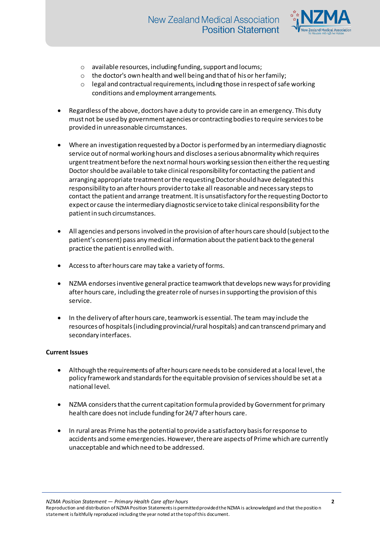

- o available resources, including funding, support and locums;
- o the doctor's own health and well being and that of his or her family;
- o legal and contractual requirements, including those in respect of safe working conditions and employment arrangements.
- Regardless of the above, doctors have a duty to provide care in an emergency. This duty must not be used by government agencies or contracting bodies to require services to be provided in unreasonable circumstances.
- Where an investigation requested by a Doctor is performed by an intermediary diagnostic service out of normal working hours and discloses a serious abnormality which requires urgent treatment before the next normal hours working session then either the requesting Doctor should be available to take clinical responsibility for contacting the patient and arranging appropriate treatment or the requesting Doctor should have delegated this responsibility to an after hours provider to take all reasonable and necessary steps to contact the patient and arrange treatment. It is unsatisfactory for the requesting Doctor to expect or cause the intermediary diagnostic service to take clinical responsibility for the patient in such circumstances.
- All agencies and personsinvolved in the provision of after hours care should (subject to the patient's consent) pass any medical information about the patient back to the general practice the patient is enrolled with.
- Access to after hours care may take a variety of forms.
- NZMA endorses inventive general practice teamwork that develops new ways for providing after hours care, including the greater role of nurses in supporting the provision of this service.
- In the delivery of after hours care, teamwork is essential. The team may include the resources of hospitals (including provincial/rural hospitals) and can transcend primary and secondary interfaces.

## **Current Issues**

- Although the requirements of after hours care needs to be considered at a local level, the policy framework and standards for the equitable provision of services should be set at a national level.
- NZMA considers that the current capitation formula provided by Government for primary health care does not include funding for 24/7 after hours care.
- In rural areas Prime has the potential to provide a satisfactory basis for response to accidents and some emergencies. However, there are aspects of Prime which are currently unacceptable and which need to be addressed.